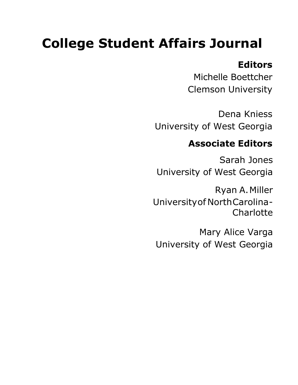# **College Student Affairs Journal**

## **Editors**

Michelle Boettcher Clemson University

Dena Kniess University of West Georgia

# **Associate Editors**

Sarah Jones University of West Georgia

Ryan A. Miller University of North Carolina - **Charlotte** 

Mary Alice Varga University of West Georgia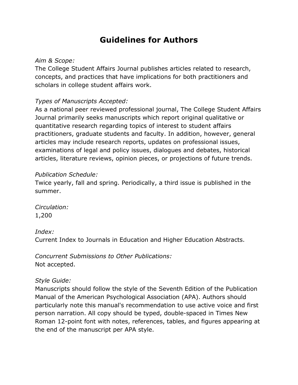### **Guidelines for Authors**

#### *Aim & Scope:*

The College Student Affairs Journal publishes articles related to research, concepts, and practices that have implications for both practitioners and scholars in college student affairs work.

#### *Types of Manuscripts Accepted:*

As a national peer reviewed professional journal, The College Student Affairs Journal primarily seeks manuscripts which report original qualitative or quantitative research regarding topics of interest to student affairs practitioners, graduate students and faculty. In addition, however, general articles may include research reports, updates on professional issues, examinations of legal and policy issues, dialogues and debates, historical articles, literature reviews, opinion pieces, or projections of future trends.

#### *Publication Schedule:*

Twice yearly, fall and spring. Periodically, a third issue is published in the summer.

*Circulation:* 1,200

#### *Index:*

Current Index to Journals in Education and Higher Education Abstracts.

*Concurrent Submissions to Other Publications:* Not accepted.

#### *Style Guide:*

Manuscripts should follow the style of the Seventh Edition of the Publication Manual of the American Psychological Association (APA). Authors should particularly note this manual's recommendation to use active voice and first person narration. All copy should be typed, double-spaced in Times New Roman 12-point font with notes, references, tables, and figures appearing at the end of the manuscript per APA style.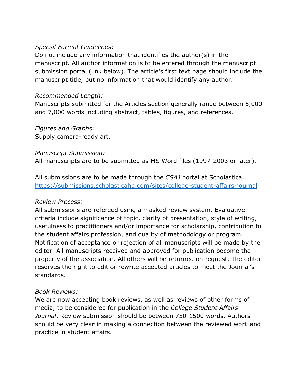#### *Special Format Guidelines:*

Do not include any information that identifies the author(s) in the manuscript. All author information is to be entered through the manuscript submission portal (link below). The article's first text page should include the manuscript title, but no information that would identify any author.

#### *Recommended Length:*

Manuscripts submitted for the Articles section generally range between 5,000 and 7,000 words including abstract, tables, figures, and references.

*Figures and Graphs:* Supply camera-ready art.

#### *Manuscript Submission:*

All manuscripts are to be submitted as MS Word files (1997-2003 or later).

All submissions are to be made through the *CSAJ* portal at Scholastica. <https://submissions.scholasticahq.com/sites/college-student-affairs-journal>

#### *Review Process:*

All submissions are refereed using a masked review system. Evaluative criteria include significance of topic, clarity of presentation, style of writing, usefulness to practitioners and/or importance for scholarship, contribution to the student affairs profession, and quality of methodology or program. Notification of acceptance or rejection of all manuscripts will be made by the editor. All manuscripts received and approved for publication become the property of the association. All others will be returned on request. The editor reserves the right to edit or rewrite accepted articles to meet the Journal's standards.

#### *Book Reviews:*

We are now accepting book reviews, as well as reviews of other forms of media, to be considered for publication in the *College Student Affairs Journal*. Review submission should be between 750-1500 words. Authors should be very clear in making a connection between the reviewed work and practice in student affairs.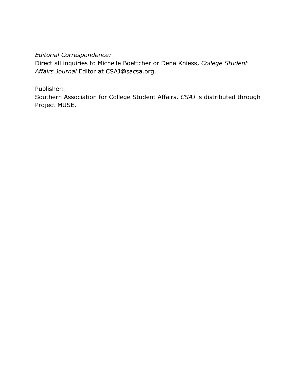#### *Editorial Correspondence:*

Direct all inquiries to Michelle Boettcher or Dena Kniess, *[College Student](mailto:CSAJ@sacsa.org)  Affairs Journal* Editor at CSAJ@sacsa.org.

#### Publisher:

Southern Association for College Student Affairs. *CSAJ* is distributed through Project MUSE.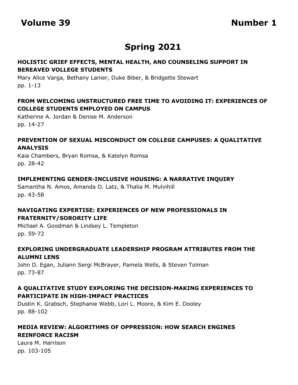### **Spring 2021**

#### **HOLISTIC GRIEF EFFECTS, MENTAL HEALTH, AND COUNSELING SUPPORT IN BEREAVED VOLLEGE STUDENTS**

Mary Alice Varga, Bethany Lanier, Duke Biber, & Bridgette Stewart pp. 1-13

#### **FROM WELCOMING UNSTRUCTURED FREE TIME TO AVOIDING IT: EXPERIENCES OF COLLEGE STUDENTS EMPLOYED ON CAMPUS**

Katherine A. Jordan & Denise M. Anderson pp. 14-27

#### **PREVENTION OF SEXUAL MISCONDUCT ON COLLEGE CAMPUSES: A QUALITATIVE ANALYSIS**

Kaia Chambers, Bryan Romsa, & Katelyn Romsa pp. 28-42

#### **IMPLEMENTING GENDER-INCLUSIVE HOUSING: A NARRATIVE INQUIRY**

Samantha N. Amos, Amanda O. Latz, & Thalia M. Mulvihill pp. 43-58

#### **NAVIGATING EXPERTISE: EXPERIENCES OF NEW PROFESSIONALS IN FRATERNITY/SORORITY LIFE**

Michael A. Goodman & Lindsey L. Templeton pp. 59-72

#### **EXPLORING UNDERGRADUATE LEADERSHIP PROGRAM ATTRIBUTES FROM THE ALUMNI LENS**

John D. Egan, Juliann Sergi McBrayer, Pamela Wells, & Steven Tolman pp. 73-87

#### **A QUALITATIVE STUDY EXPLORING THE DECISION-MAKING EXPERIENCES TO PARTICIPATE IN HIGH-IMPACT PRACTICES**

Dustin K. Grabsch, Stephanie Webb, Lori L. Moore, & Kim E. Dooley pp. 88-102

#### **MEDIA REVIEW: ALGORITHMS OF OPPRESSION: HOW SEARCH ENGINES REINFORCE RACISM**

Laura M. Harrison pp. 103-105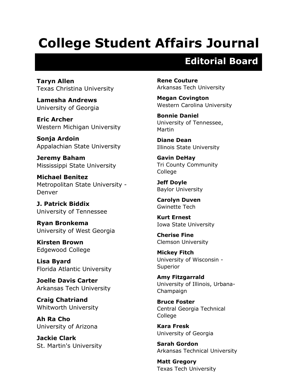# **College Student Affairs Journal**

# **Editorial Board**

**Taryn Allen** Texas Christina University

**Lamesha Andrews** University of Georgia

**Eric Archer** Western Michigan University

**Sonja Ardoin**  Appalachian State University

**Jeremy Baham**  Mississippi State University

**Michael Benitez** Metropolitan State University - Denver

**J. Patrick Biddix** University of Tennessee

**Ryan Bronkema** University of West Georgia

**Kirsten Brown**  Edgewood College

**Lisa Byard**  Florida Atlantic University

**Joelle Davis Carter**  Arkansas Tech University

**Craig Chatriand** Whitworth University

**Ah Ra Cho**  University of Arizona

**Jackie Clark** St. Martin's University **Rene Couture**  Arkansas Tech University

**Megan Covington**  Western Carolina University

**Bonnie Daniel**  University of Tennessee, Martin

**Diane Dean**  Illinois State University

**Gavin DeHay** Tri County Community College

**Jeff Doyle** Baylor University

**Carolyn Duven** Gwinette Tech

**Kurt Ernest** Iowa State University

**Cherise Fine** Clemson University

**Mickey Fitch** University of Wisconsin - Superior

**Amy Fitzgarrald** University of Illinois, Urbana-Champaign

**Bruce Foster**  Central Georgia Technical College

**Kara Fresk**  University of Georgia

**Sarah Gordon** Arkansas Technical University

**Matt Gregory** Texas Tech University